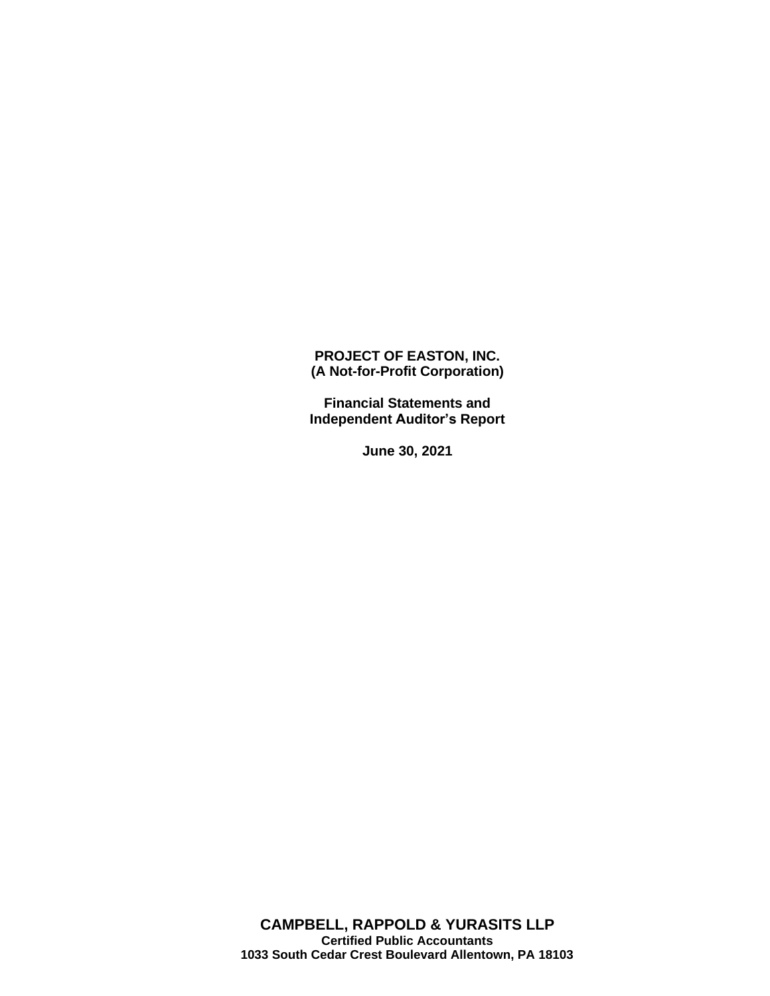**PROJECT OF EASTON, INC. (A Not-for-Profit Corporation)**

**Financial Statements and Independent Auditor's Report**

**June 30, 2021**

**CAMPBELL, RAPPOLD & YURASITS LLP Certified Public Accountants 1033 South Cedar Crest Boulevard Allentown, PA 18103**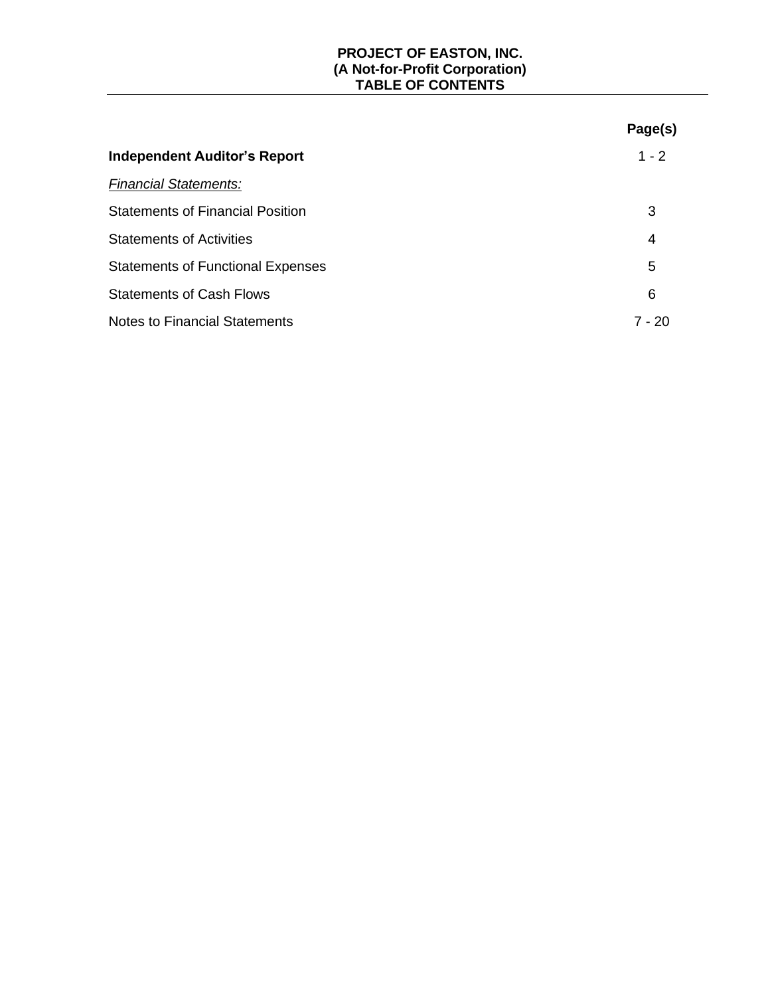# **PROJECT OF EASTON, INC. (A Not-for-Profit Corporation) TABLE OF CONTENTS**

|                                          | Page(s)  |
|------------------------------------------|----------|
| <b>Independent Auditor's Report</b>      | $1 - 2$  |
| <b>Financial Statements:</b>             |          |
| <b>Statements of Financial Position</b>  | 3        |
| <b>Statements of Activities</b>          | 4        |
| <b>Statements of Functional Expenses</b> | 5        |
| <b>Statements of Cash Flows</b>          | 6        |
| <b>Notes to Financial Statements</b>     | $7 - 20$ |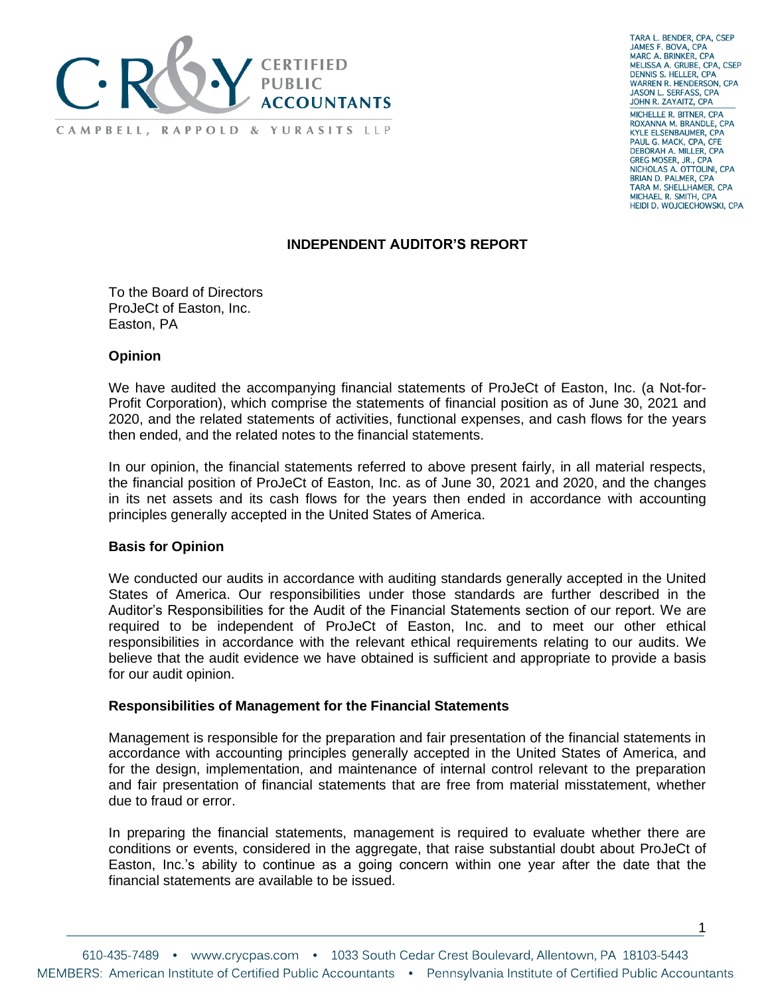

TARA L. BENDER, CPA, CSEP JAMES F. BOVA, CPA MARC A. BRINKER, CPA MELISSA A. GRUBE, CPA, CSEP DENNIS S. HELLER, CPA WARREN R. HENDERSON, CPA **JASON L. SERFASS, CPA** JOHN R. ZAYAITZ, CPA MICHELLE R. BITNER, CPA ROXANNA M. BRANDLE, CPA KYLE ELSENBAUMER, CPA PAUL G. MACK, CPA, CFE<br>DEBORAH A. MILLER, CPA GREG MOSER, JR., CPA NICHOLAS A. OTTOLINI, CPA BRIAN D. PALMER, CPA TARA M. SHELLHAMER, CPA MICHAEL R. SMITH, CPA HEIDI D. WOJCIECHOWSKI, CPA

# **INDEPENDENT AUDITOR'S REPORT**

To the Board of Directors ProJeCt of Easton, Inc. Easton, PA

## **Opinion**

We have audited the accompanying financial statements of ProJeCt of Easton, Inc. (a Not-for-Profit Corporation), which comprise the statements of financial position as of June 30, 2021 and 2020, and the related statements of activities, functional expenses, and cash flows for the years then ended, and the related notes to the financial statements.

In our opinion, the financial statements referred to above present fairly, in all material respects, the financial position of ProJeCt of Easton, Inc. as of June 30, 2021 and 2020, and the changes in its net assets and its cash flows for the years then ended in accordance with accounting principles generally accepted in the United States of America.

### **Basis for Opinion**

We conducted our audits in accordance with auditing standards generally accepted in the United States of America. Our responsibilities under those standards are further described in the Auditor's Responsibilities for the Audit of the Financial Statements section of our report. We are required to be independent of ProJeCt of Easton, Inc. and to meet our other ethical responsibilities in accordance with the relevant ethical requirements relating to our audits. We believe that the audit evidence we have obtained is sufficient and appropriate to provide a basis for our audit opinion.

### **Responsibilities of Management for the Financial Statements**

Management is responsible for the preparation and fair presentation of the financial statements in accordance with accounting principles generally accepted in the United States of America, and for the design, implementation, and maintenance of internal control relevant to the preparation and fair presentation of financial statements that are free from material misstatement, whether due to fraud or error.

In preparing the financial statements, management is required to evaluate whether there are conditions or events, considered in the aggregate, that raise substantial doubt about ProJeCt of Easton, Inc.'s ability to continue as a going concern within one year after the date that the financial statements are available to be issued.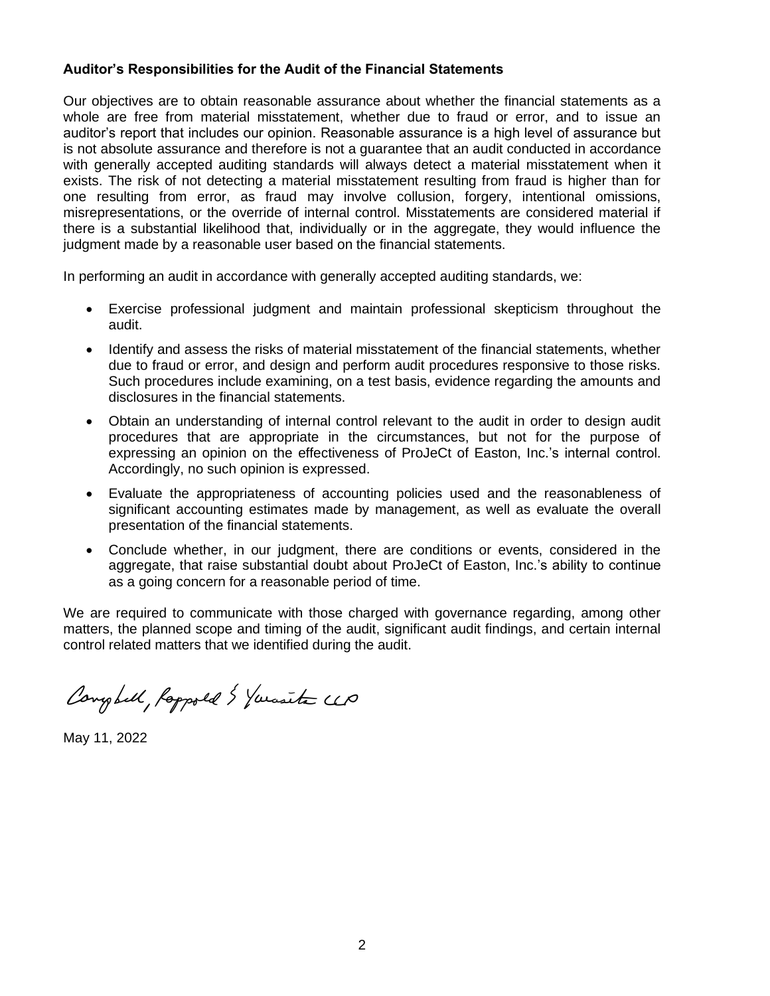# **Auditor's Responsibilities for the Audit of the Financial Statements**

Our objectives are to obtain reasonable assurance about whether the financial statements as a whole are free from material misstatement, whether due to fraud or error, and to issue an auditor's report that includes our opinion. Reasonable assurance is a high level of assurance but is not absolute assurance and therefore is not a guarantee that an audit conducted in accordance with generally accepted auditing standards will always detect a material misstatement when it exists. The risk of not detecting a material misstatement resulting from fraud is higher than for one resulting from error, as fraud may involve collusion, forgery, intentional omissions, misrepresentations, or the override of internal control. Misstatements are considered material if there is a substantial likelihood that, individually or in the aggregate, they would influence the judgment made by a reasonable user based on the financial statements.

In performing an audit in accordance with generally accepted auditing standards, we:

- Exercise professional judgment and maintain professional skepticism throughout the audit.
- Identify and assess the risks of material misstatement of the financial statements, whether due to fraud or error, and design and perform audit procedures responsive to those risks. Such procedures include examining, on a test basis, evidence regarding the amounts and disclosures in the financial statements.
- Obtain an understanding of internal control relevant to the audit in order to design audit procedures that are appropriate in the circumstances, but not for the purpose of expressing an opinion on the effectiveness of ProJeCt of Easton, Inc.'s internal control. Accordingly, no such opinion is expressed.
- Evaluate the appropriateness of accounting policies used and the reasonableness of significant accounting estimates made by management, as well as evaluate the overall presentation of the financial statements.
- Conclude whether, in our judgment, there are conditions or events, considered in the aggregate, that raise substantial doubt about ProJeCt of Easton, Inc.'s ability to continue as a going concern for a reasonable period of time.

We are required to communicate with those charged with governance regarding, among other matters, the planned scope and timing of the audit, significant audit findings, and certain internal control related matters that we identified during the audit.

Cangbell, Rappold & Youasita UP

May 11, 2022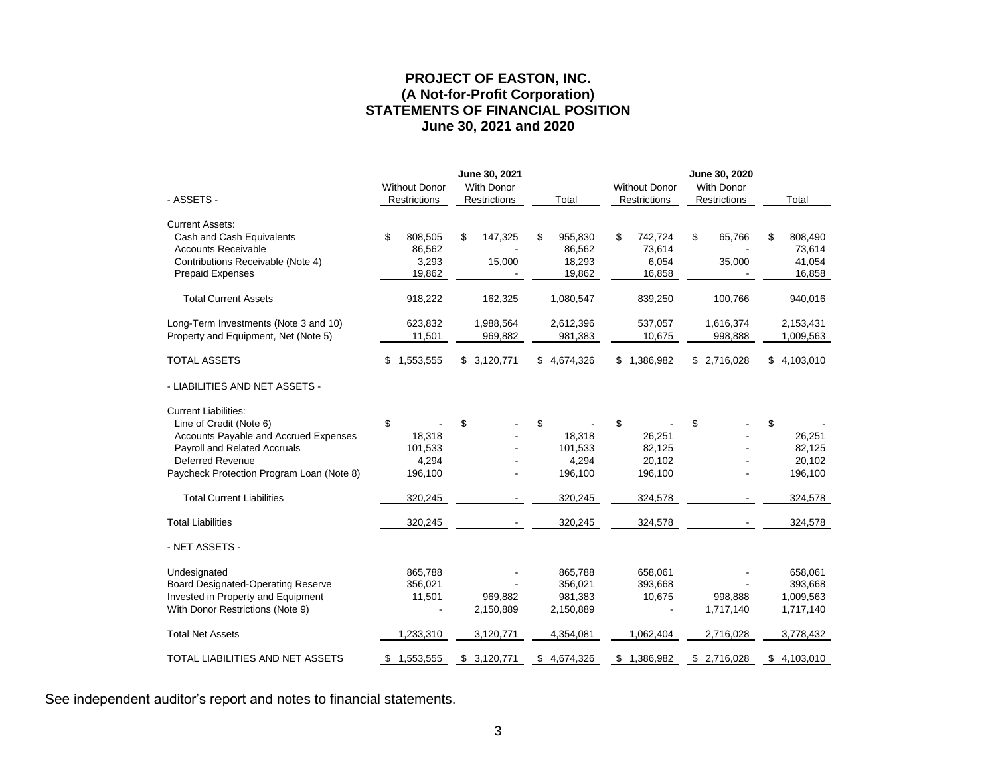## **PROJECT OF EASTON, INC. (A Not-for-Profit Corporation) STATEMENTS OF FINANCIAL POSITION June 30, 2021 and 2020**

|                                                                               |                                      | June 30, 2021                            |                         | June 30, 2020                               |                                   |                         |  |  |  |
|-------------------------------------------------------------------------------|--------------------------------------|------------------------------------------|-------------------------|---------------------------------------------|-----------------------------------|-------------------------|--|--|--|
| - ASSETS -                                                                    | <b>Without Donor</b><br>Restrictions | <b>With Donor</b><br><b>Restrictions</b> | Total                   | <b>Without Donor</b><br><b>Restrictions</b> | With Donor<br><b>Restrictions</b> | Total                   |  |  |  |
| <b>Current Assets:</b>                                                        |                                      |                                          |                         |                                             |                                   |                         |  |  |  |
| Cash and Cash Equivalents<br><b>Accounts Receivable</b>                       | 808,505<br>\$<br>86,562              | \$<br>147,325                            | 955,830<br>\$<br>86.562 | \$<br>742,724<br>73,614                     | 65,766<br>\$                      | \$<br>808,490<br>73.614 |  |  |  |
| Contributions Receivable (Note 4)<br><b>Prepaid Expenses</b>                  | 3,293<br>19,862                      | 15,000                                   | 18,293<br>19,862        | 6,054<br>16,858                             | 35,000                            | 41,054<br>16,858        |  |  |  |
| <b>Total Current Assets</b>                                                   | 918,222                              | 162,325                                  | 1,080,547               | 839,250                                     | 100.766                           | 940,016                 |  |  |  |
| Long-Term Investments (Note 3 and 10)<br>Property and Equipment, Net (Note 5) | 623,832<br>11,501                    | 1,988,564<br>969,882                     | 2,612,396<br>981,383    | 537,057<br>10,675                           | 1,616,374<br>998,888              | 2,153,431<br>1,009,563  |  |  |  |
| <b>TOTAL ASSETS</b>                                                           | 1,553,555                            | \$3,120,771                              | \$4,674,326             | \$1,386,982                                 | \$2,716,028                       | \$4,103,010             |  |  |  |
| - LIABILITIES AND NET ASSETS -                                                |                                      |                                          |                         |                                             |                                   |                         |  |  |  |
| <b>Current Liabilities:</b>                                                   |                                      |                                          |                         |                                             |                                   |                         |  |  |  |
| Line of Credit (Note 6)<br>Accounts Payable and Accrued Expenses              | \$<br>18,318                         | \$                                       | \$<br>18,318            | \$<br>26,251                                | \$                                | \$<br>26,251            |  |  |  |
| Payroll and Related Accruals                                                  | 101,533                              |                                          | 101,533                 | 82,125                                      |                                   | 82,125                  |  |  |  |
| <b>Deferred Revenue</b>                                                       | 4,294                                |                                          | 4,294                   | 20,102                                      |                                   | 20,102                  |  |  |  |
| Paycheck Protection Program Loan (Note 8)                                     | 196,100                              |                                          | 196,100                 | 196,100                                     |                                   | 196,100                 |  |  |  |
| <b>Total Current Liabilities</b>                                              | 320,245                              |                                          | 320,245                 | 324,578                                     |                                   | 324,578                 |  |  |  |
| <b>Total Liabilities</b>                                                      | 320,245                              |                                          | 320,245                 | 324,578                                     |                                   | 324,578                 |  |  |  |
| - NET ASSETS -                                                                |                                      |                                          |                         |                                             |                                   |                         |  |  |  |
| Undesignated                                                                  | 865,788                              |                                          | 865,788                 | 658,061                                     |                                   | 658,061                 |  |  |  |
| <b>Board Designated-Operating Reserve</b>                                     | 356,021                              |                                          | 356,021                 | 393,668                                     |                                   | 393,668                 |  |  |  |
| Invested in Property and Equipment                                            | 11,501                               | 969,882                                  | 981,383                 | 10,675                                      | 998,888                           | 1,009,563               |  |  |  |
| With Donor Restrictions (Note 9)                                              |                                      | 2,150,889                                | 2,150,889               |                                             | 1,717,140                         | 1,717,140               |  |  |  |
| <b>Total Net Assets</b>                                                       | 1,233,310                            | 3,120,771                                | 4,354,081               | 1,062,404                                   | 2,716,028                         | 3,778,432               |  |  |  |
| TOTAL LIABILITIES AND NET ASSETS                                              | 1,553,555<br>\$                      | \$3,120,771                              | 4,674,326<br>\$         | \$1,386,982                                 | \$2,716,028                       | \$4,103,010             |  |  |  |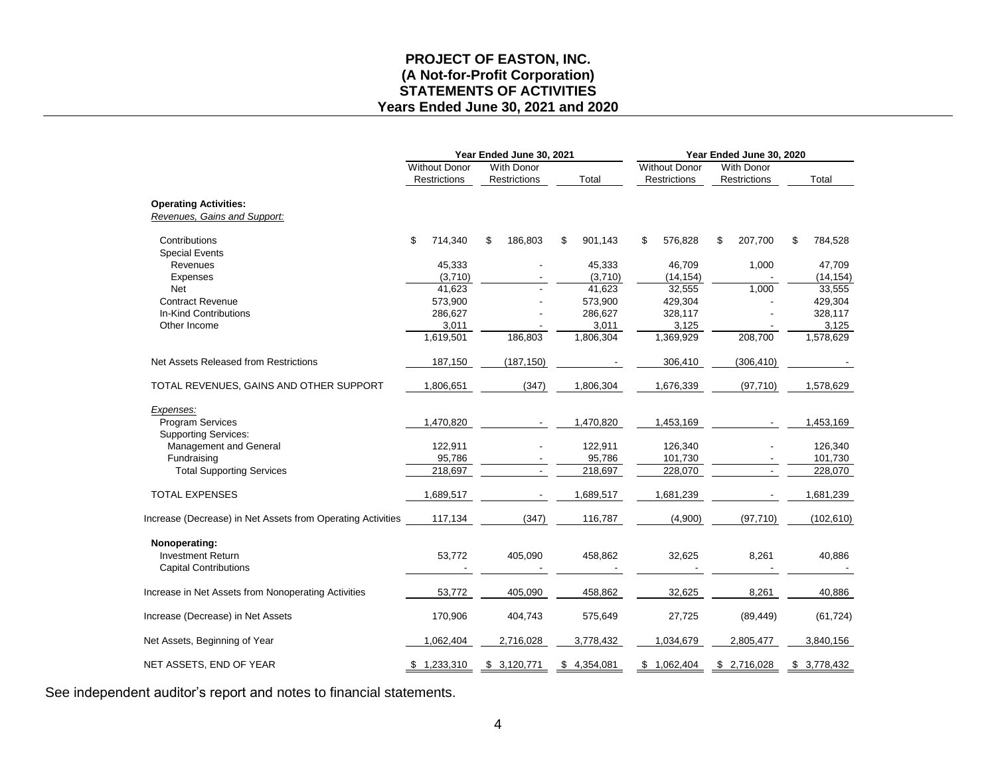## **PROJECT OF EASTON, INC. (A Not-for-Profit Corporation) STATEMENTS OF ACTIVITIES Years Ended June 30, 2021 and 2020**

|                                                              | Year Ended June 30, 2021 |                                      |    |                                   |       |             | Year Ended June 30, 2020      |             |                                   |             |       |             |
|--------------------------------------------------------------|--------------------------|--------------------------------------|----|-----------------------------------|-------|-------------|-------------------------------|-------------|-----------------------------------|-------------|-------|-------------|
|                                                              |                          | <b>Without Donor</b><br>Restrictions |    | <b>With Donor</b><br>Restrictions | Total |             | Without Donor<br>Restrictions |             | <b>With Donor</b><br>Restrictions |             | Total |             |
| <b>Operating Activities:</b><br>Revenues, Gains and Support: |                          |                                      |    |                                   |       |             |                               |             |                                   |             |       |             |
| Contributions                                                | \$                       | 714,340                              | \$ | 186,803                           | \$    | 901,143     | \$                            | 576,828     | \$                                | 207,700     | \$    | 784,528     |
| <b>Special Events</b>                                        |                          |                                      |    |                                   |       |             |                               |             |                                   |             |       |             |
| Revenues                                                     |                          | 45,333                               |    |                                   |       | 45,333      |                               | 46,709      |                                   | 1,000       |       | 47,709      |
| Expenses                                                     |                          | (3,710)                              |    |                                   |       | (3,710)     |                               | (14, 154)   |                                   |             |       | (14, 154)   |
| <b>Net</b>                                                   |                          | 41.623                               |    |                                   |       | 41,623      |                               | 32,555      |                                   | 1,000       |       | 33,555      |
| <b>Contract Revenue</b>                                      |                          | 573,900                              |    |                                   |       | 573,900     |                               | 429,304     |                                   |             |       | 429,304     |
| In-Kind Contributions                                        |                          | 286,627                              |    |                                   |       | 286,627     |                               | 328,117     |                                   |             |       | 328,117     |
| Other Income                                                 |                          | 3,011                                |    |                                   |       | 3,011       |                               | 3,125       |                                   |             |       | 3,125       |
|                                                              |                          | 1,619,501                            |    | 186,803                           |       | 1,806,304   |                               | 1,369,929   |                                   | 208,700     |       | 1,578,629   |
| Net Assets Released from Restrictions                        |                          | 187,150                              |    | (187, 150)                        |       |             |                               | 306,410     |                                   | (306, 410)  |       |             |
| TOTAL REVENUES, GAINS AND OTHER SUPPORT                      |                          | 1,806,651                            |    | (347)                             |       | 1,806,304   |                               | 1,676,339   |                                   | (97, 710)   |       | 1,578,629   |
| Expenses:                                                    |                          |                                      |    |                                   |       |             |                               |             |                                   |             |       |             |
| <b>Program Services</b>                                      |                          | 1,470,820                            |    |                                   |       | 1,470,820   |                               | 1,453,169   |                                   |             |       | 1,453,169   |
| <b>Supporting Services:</b>                                  |                          |                                      |    |                                   |       |             |                               |             |                                   |             |       |             |
| Management and General                                       |                          | 122,911                              |    |                                   |       | 122,911     |                               | 126,340     |                                   |             |       | 126,340     |
| Fundraising                                                  |                          | 95,786                               |    |                                   |       | 95,786      |                               | 101,730     |                                   |             |       | 101,730     |
| <b>Total Supporting Services</b>                             |                          | 218,697                              |    |                                   |       | 218,697     |                               | 228,070     |                                   |             |       | 228,070     |
| <b>TOTAL EXPENSES</b>                                        |                          | 1,689,517                            |    |                                   |       | 1,689,517   |                               | 1,681,239   |                                   |             |       | 1,681,239   |
| Increase (Decrease) in Net Assets from Operating Activities  |                          | 117,134                              |    | (347)                             |       | 116,787     |                               | (4,900)     |                                   | (97, 710)   |       | (102, 610)  |
| Nonoperating:                                                |                          |                                      |    |                                   |       |             |                               |             |                                   |             |       |             |
| <b>Investment Return</b>                                     |                          | 53,772                               |    | 405,090                           |       | 458,862     |                               | 32,625      |                                   | 8,261       |       | 40,886      |
| <b>Capital Contributions</b>                                 |                          |                                      |    |                                   |       |             |                               |             |                                   |             |       |             |
| Increase in Net Assets from Nonoperating Activities          |                          | 53,772                               |    | 405,090                           |       | 458,862     |                               | 32,625      |                                   | 8,261       |       | 40,886      |
| Increase (Decrease) in Net Assets                            |                          | 170,906                              |    | 404,743                           |       | 575,649     |                               | 27,725      |                                   | (89, 449)   |       | (61, 724)   |
| Net Assets, Beginning of Year                                |                          | 1,062,404                            |    | 2,716,028                         |       | 3,778,432   |                               | 1,034,679   |                                   | 2,805,477   |       | 3,840,156   |
| NET ASSETS, END OF YEAR                                      | \$                       | 1,233,310                            |    | \$3,120,771                       |       | \$4,354,081 |                               | \$1,062,404 |                                   | \$2,716,028 |       | \$3,778,432 |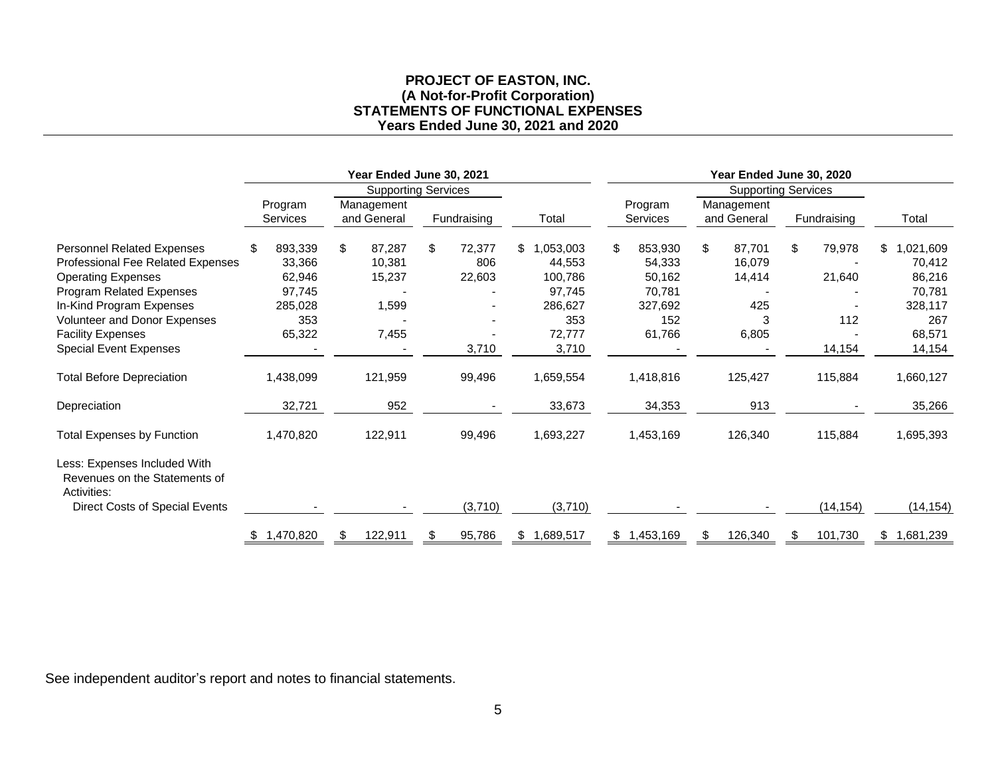#### **PROJECT OF EASTON, INC. (A Not-for-Profit Corporation) STATEMENTS OF FUNCTIONAL EXPENSES Years Ended June 30, 2021 and 2020**

|                                                                              | Year Ended June 30, 2021 |                            |    |                            |    |             |     | Year Ended June 30, 2020 |    |                            |    |                                                  |    |             |    |           |       |
|------------------------------------------------------------------------------|--------------------------|----------------------------|----|----------------------------|----|-------------|-----|--------------------------|----|----------------------------|----|--------------------------------------------------|----|-------------|----|-----------|-------|
|                                                                              |                          |                            |    | <b>Supporting Services</b> |    |             |     |                          |    | <b>Supporting Services</b> |    |                                                  |    |             |    |           |       |
|                                                                              |                          | Program<br><b>Services</b> |    | Management<br>and General  |    | Fundraising |     | Total                    |    |                            |    | Management<br>Program<br>and General<br>Services |    | Fundraising |    |           | Total |
| <b>Personnel Related Expenses</b>                                            | \$                       | 893,339                    | \$ | 87,287                     | \$ | 72,377      | SS. | 1,053,003                | \$ | 853,930                    | \$ | 87,701                                           | \$ | 79,978      | \$ | 1,021,609 |       |
| Professional Fee Related Expenses                                            |                          | 33,366                     |    | 10,381                     |    | 806         |     | 44,553                   |    | 54,333                     |    | 16,079                                           |    |             |    | 70,412    |       |
| <b>Operating Expenses</b>                                                    |                          | 62,946                     |    | 15,237                     |    | 22,603      |     | 100,786                  |    | 50,162                     |    | 14,414                                           |    | 21,640      |    | 86,216    |       |
| Program Related Expenses                                                     |                          | 97,745                     |    |                            |    |             |     | 97,745                   |    | 70,781                     |    |                                                  |    |             |    | 70,781    |       |
| In-Kind Program Expenses                                                     |                          | 285,028                    |    | 1,599                      |    |             |     | 286,627                  |    | 327,692                    |    | 425                                              |    |             |    | 328,117   |       |
| Volunteer and Donor Expenses                                                 |                          | 353                        |    |                            |    |             |     | 353                      |    | 152                        |    | 3                                                |    | 112         |    | 267       |       |
| <b>Facility Expenses</b>                                                     |                          | 65,322                     |    | 7,455                      |    |             |     | 72,777                   |    | 61,766                     |    | 6,805                                            |    |             |    | 68,571    |       |
| <b>Special Event Expenses</b>                                                |                          |                            |    |                            |    | 3,710       |     | 3,710                    |    |                            |    |                                                  |    | 14,154      |    | 14,154    |       |
| <b>Total Before Depreciation</b>                                             |                          | 1,438,099                  |    | 121,959                    |    | 99,496      |     | 1,659,554                |    | 1,418,816                  |    | 125,427                                          |    | 115,884     |    | 1,660,127 |       |
| Depreciation                                                                 |                          | 32,721                     |    | 952                        |    |             |     | 33,673                   |    | 34,353                     |    | 913                                              |    |             |    | 35,266    |       |
| <b>Total Expenses by Function</b>                                            |                          | 1,470,820                  |    | 122,911                    |    | 99,496      |     | 1,693,227                |    | 1,453,169                  |    | 126,340                                          |    | 115,884     |    | 1,695,393 |       |
| Less: Expenses Included With<br>Revenues on the Statements of<br>Activities: |                          |                            |    |                            |    |             |     |                          |    |                            |    |                                                  |    |             |    |           |       |
| Direct Costs of Special Events                                               |                          |                            |    |                            |    | (3,710)     |     | (3,710)                  |    |                            |    |                                                  |    | (14, 154)   |    | (14, 154) |       |
|                                                                              | S.                       | 1,470,820                  | \$ | 122,911                    | S. | 95,786      | \$  | 1,689,517                |    | \$1,453,169                | \$ | 126,340                                          | S  | 101,730     | \$ | 1,681,239 |       |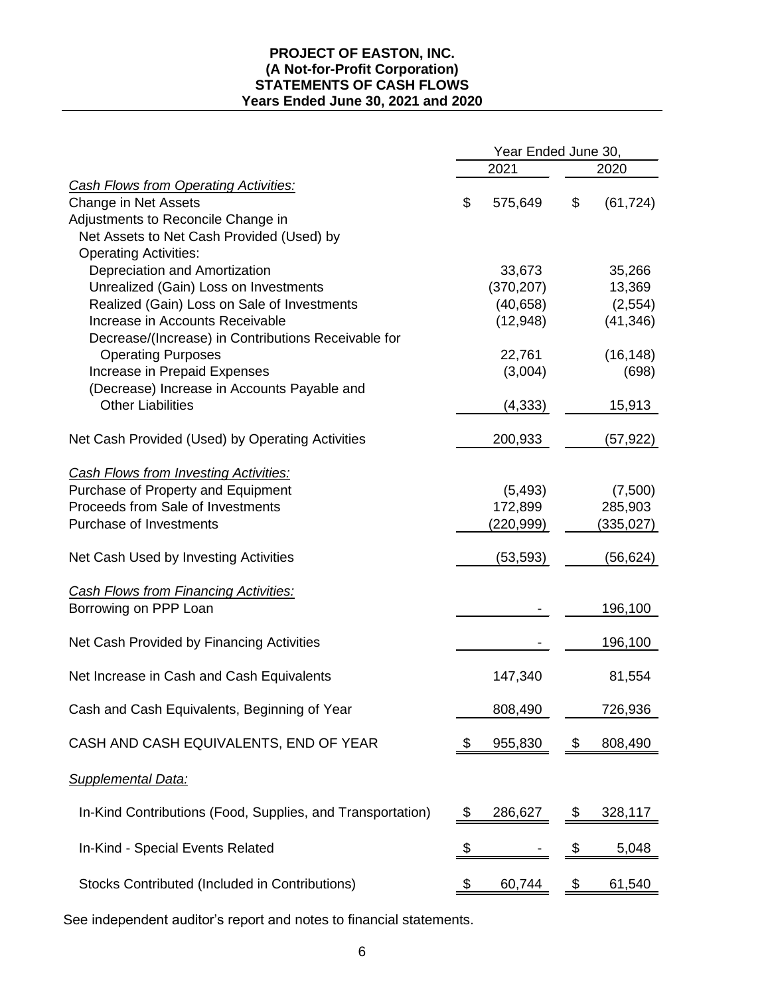## **PROJECT OF EASTON, INC. (A Not-for-Profit Corporation) STATEMENTS OF CASH FLOWS Years Ended June 30, 2021 and 2020**

|                                                            | Year Ended June 30, |            |     |            |  |
|------------------------------------------------------------|---------------------|------------|-----|------------|--|
|                                                            |                     | 2021       |     | 2020       |  |
| <b>Cash Flows from Operating Activities:</b>               |                     |            |     |            |  |
| Change in Net Assets                                       | \$                  | 575,649    | \$  | (61, 724)  |  |
| Adjustments to Reconcile Change in                         |                     |            |     |            |  |
| Net Assets to Net Cash Provided (Used) by                  |                     |            |     |            |  |
| <b>Operating Activities:</b>                               |                     |            |     |            |  |
| Depreciation and Amortization                              |                     | 33,673     |     | 35,266     |  |
| Unrealized (Gain) Loss on Investments                      |                     | (370, 207) |     | 13,369     |  |
| Realized (Gain) Loss on Sale of Investments                |                     | (40, 658)  |     | (2, 554)   |  |
| Increase in Accounts Receivable                            |                     | (12, 948)  |     | (41, 346)  |  |
| Decrease/(Increase) in Contributions Receivable for        |                     |            |     |            |  |
| <b>Operating Purposes</b>                                  |                     | 22,761     |     | (16, 148)  |  |
| Increase in Prepaid Expenses                               |                     | (3,004)    |     | (698)      |  |
| (Decrease) Increase in Accounts Payable and                |                     |            |     |            |  |
| <b>Other Liabilities</b>                                   |                     | (4, 333)   |     | 15,913     |  |
| Net Cash Provided (Used) by Operating Activities           |                     | 200,933    |     | (57, 922)  |  |
| <b>Cash Flows from Investing Activities:</b>               |                     |            |     |            |  |
| Purchase of Property and Equipment                         |                     | (5, 493)   |     | (7,500)    |  |
| Proceeds from Sale of Investments                          |                     | 172,899    |     | 285,903    |  |
| Purchase of Investments                                    |                     | (220,999)  |     | (335, 027) |  |
|                                                            |                     |            |     |            |  |
| Net Cash Used by Investing Activities                      |                     | (53, 593)  |     | (56, 624)  |  |
| <b>Cash Flows from Financing Activities:</b>               |                     |            |     |            |  |
| Borrowing on PPP Loan                                      |                     |            |     | 196,100    |  |
| Net Cash Provided by Financing Activities                  |                     |            |     | 196,100    |  |
|                                                            |                     |            |     |            |  |
| Net Increase in Cash and Cash Equivalents                  |                     | 147,340    |     | 81,554     |  |
| Cash and Cash Equivalents, Beginning of Year               |                     | 808,490    |     | 726,936    |  |
| CASH AND CASH EQUIVALENTS, END OF YEAR                     | \$                  | 955,830    | -\$ | 808,490    |  |
| <b>Supplemental Data:</b>                                  |                     |            |     |            |  |
|                                                            |                     |            |     |            |  |
| In-Kind Contributions (Food, Supplies, and Transportation) | -\$                 | 286,627    | \$  | 328,117    |  |
| In-Kind - Special Events Related                           | \$                  |            | \$  | 5,048      |  |
| Stocks Contributed (Included in Contributions)             | \$                  | 60,744     | \$  | 61,540     |  |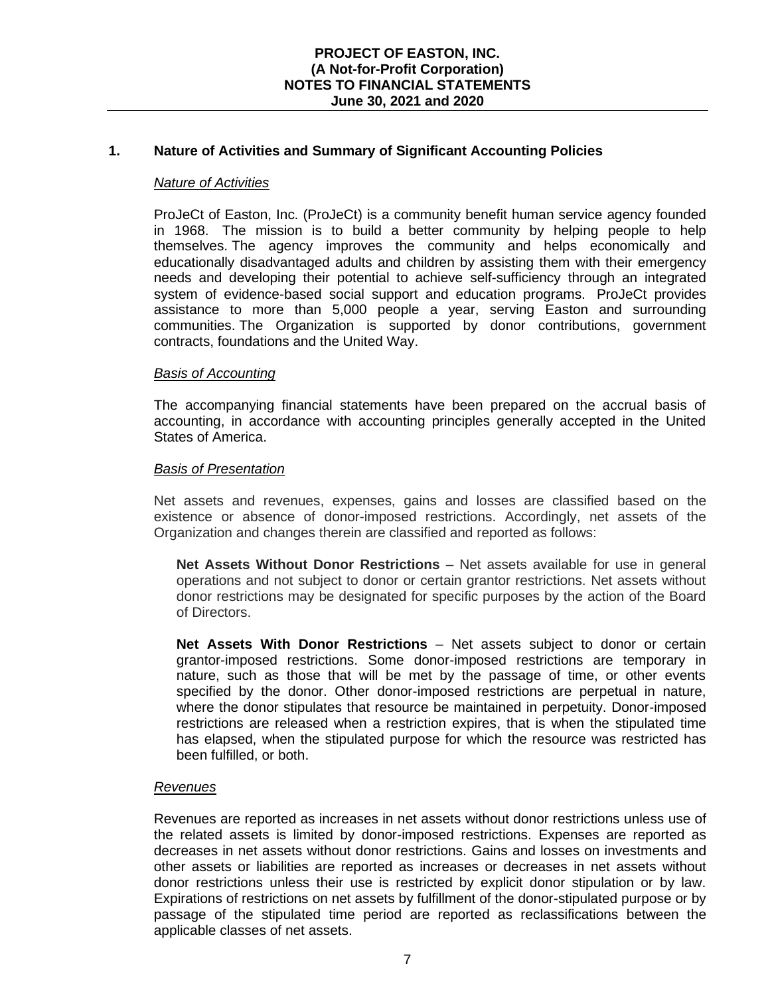## **1. Nature of Activities and Summary of Significant Accounting Policies**

### *Nature of Activities*

ProJeCt of Easton, Inc. (ProJeCt) is a community benefit human service agency founded in 1968. The mission is to build a better community by helping people to help themselves. The agency improves the community and helps economically and educationally disadvantaged adults and children by assisting them with their emergency needs and developing their potential to achieve self-sufficiency through an integrated system of evidence-based social support and education programs. ProJeCt provides assistance to more than 5,000 people a year, serving Easton and surrounding communities. The Organization is supported by donor contributions, government contracts, foundations and the United Way.

### *Basis of Accounting*

The accompanying financial statements have been prepared on the accrual basis of accounting, in accordance with accounting principles generally accepted in the United States of America.

### *Basis of Presentation*

Net assets and revenues, expenses, gains and losses are classified based on the existence or absence of donor-imposed restrictions. Accordingly, net assets of the Organization and changes therein are classified and reported as follows:

**Net Assets Without Donor Restrictions** – Net assets available for use in general operations and not subject to donor or certain grantor restrictions. Net assets without donor restrictions may be designated for specific purposes by the action of the Board of Directors.

**Net Assets With Donor Restrictions** – Net assets subject to donor or certain grantor-imposed restrictions. Some donor-imposed restrictions are temporary in nature, such as those that will be met by the passage of time, or other events specified by the donor. Other donor-imposed restrictions are perpetual in nature, where the donor stipulates that resource be maintained in perpetuity. Donor-imposed restrictions are released when a restriction expires, that is when the stipulated time has elapsed, when the stipulated purpose for which the resource was restricted has been fulfilled, or both.

### *Revenues*

Revenues are reported as increases in net assets without donor restrictions unless use of the related assets is limited by donor-imposed restrictions. Expenses are reported as decreases in net assets without donor restrictions. Gains and losses on investments and other assets or liabilities are reported as increases or decreases in net assets without donor restrictions unless their use is restricted by explicit donor stipulation or by law. Expirations of restrictions on net assets by fulfillment of the donor-stipulated purpose or by passage of the stipulated time period are reported as reclassifications between the applicable classes of net assets.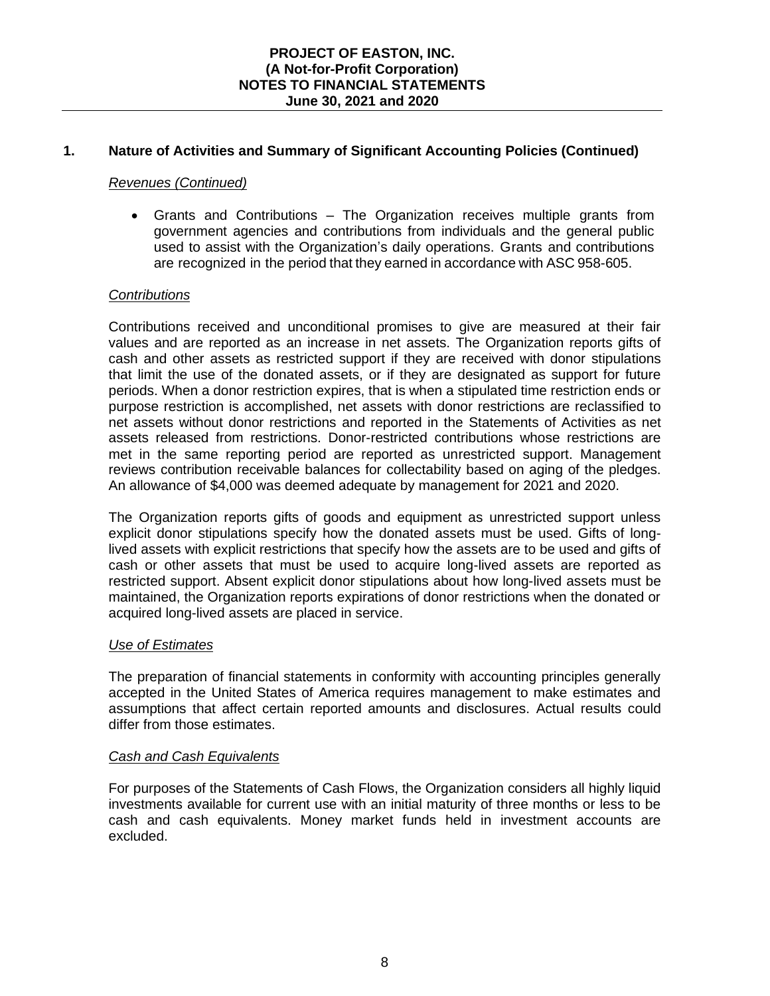# **1. Nature of Activities and Summary of Significant Accounting Policies (Continued)**

# *Revenues (Continued)*

• Grants and Contributions – The Organization receives multiple grants from government agencies and contributions from individuals and the general public used to assist with the Organization's daily operations. Grants and contributions are recognized in the period that they earned in accordance with ASC 958-605.

# *Contributions*

Contributions received and unconditional promises to give are measured at their fair values and are reported as an increase in net assets. The Organization reports gifts of cash and other assets as restricted support if they are received with donor stipulations that limit the use of the donated assets, or if they are designated as support for future periods. When a donor restriction expires, that is when a stipulated time restriction ends or purpose restriction is accomplished, net assets with donor restrictions are reclassified to net assets without donor restrictions and reported in the Statements of Activities as net assets released from restrictions. Donor-restricted contributions whose restrictions are met in the same reporting period are reported as unrestricted support. Management reviews contribution receivable balances for collectability based on aging of the pledges. An allowance of \$4,000 was deemed adequate by management for 2021 and 2020.

The Organization reports gifts of goods and equipment as unrestricted support unless explicit donor stipulations specify how the donated assets must be used. Gifts of longlived assets with explicit restrictions that specify how the assets are to be used and gifts of cash or other assets that must be used to acquire long-lived assets are reported as restricted support. Absent explicit donor stipulations about how long-lived assets must be maintained, the Organization reports expirations of donor restrictions when the donated or acquired long-lived assets are placed in service.

# *Use of Estimates*

The preparation of financial statements in conformity with accounting principles generally accepted in the United States of America requires management to make estimates and assumptions that affect certain reported amounts and disclosures. Actual results could differ from those estimates.

# *Cash and Cash Equivalents*

For purposes of the Statements of Cash Flows, the Organization considers all highly liquid investments available for current use with an initial maturity of three months or less to be cash and cash equivalents. Money market funds held in investment accounts are excluded.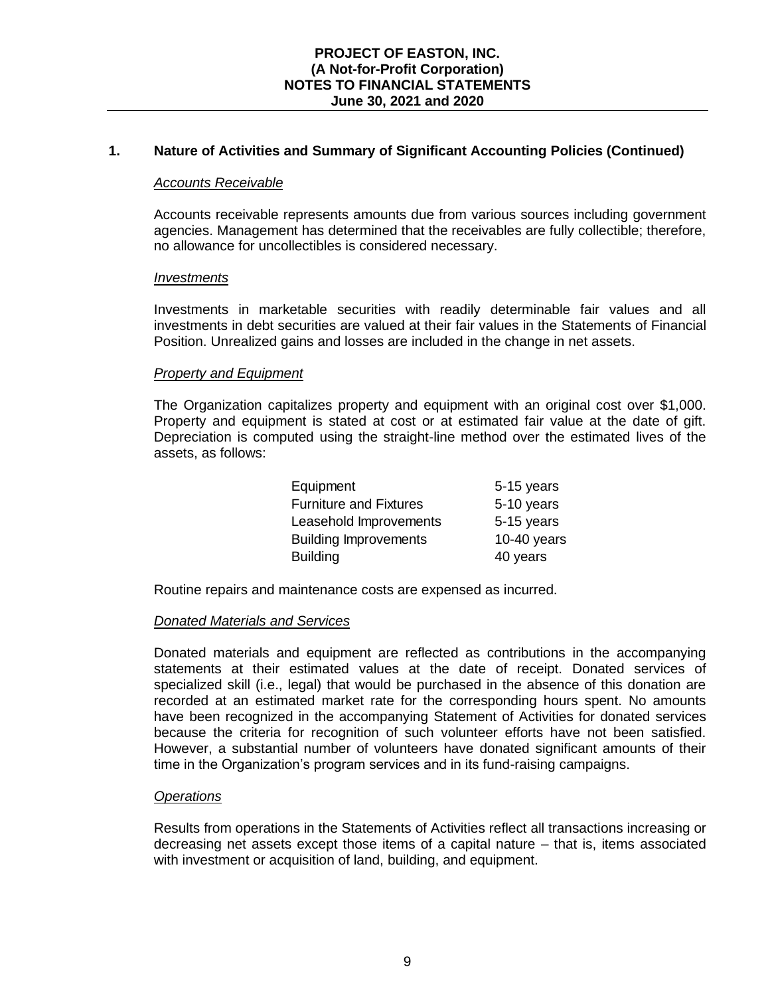# **1. Nature of Activities and Summary of Significant Accounting Policies (Continued)**

## *Accounts Receivable*

Accounts receivable represents amounts due from various sources including government agencies. Management has determined that the receivables are fully collectible; therefore, no allowance for uncollectibles is considered necessary.

### *Investments*

Investments in marketable securities with readily determinable fair values and all investments in debt securities are valued at their fair values in the Statements of Financial Position. Unrealized gains and losses are included in the change in net assets.

### *Property and Equipment*

The Organization capitalizes property and equipment with an original cost over \$1,000. Property and equipment is stated at cost or at estimated fair value at the date of gift. Depreciation is computed using the straight-line method over the estimated lives of the assets, as follows:

| Equipment                     | 5-15 years    |
|-------------------------------|---------------|
| <b>Furniture and Fixtures</b> | 5-10 years    |
| Leasehold Improvements        | 5-15 years    |
| <b>Building Improvements</b>  | $10-40$ years |
| <b>Building</b>               | 40 years      |

Routine repairs and maintenance costs are expensed as incurred.

### *Donated Materials and Services*

Donated materials and equipment are reflected as contributions in the accompanying statements at their estimated values at the date of receipt. Donated services of specialized skill (i.e., legal) that would be purchased in the absence of this donation are recorded at an estimated market rate for the corresponding hours spent. No amounts have been recognized in the accompanying Statement of Activities for donated services because the criteria for recognition of such volunteer efforts have not been satisfied. However, a substantial number of volunteers have donated significant amounts of their time in the Organization's program services and in its fund-raising campaigns.

### *Operations*

Results from operations in the Statements of Activities reflect all transactions increasing or decreasing net assets except those items of a capital nature – that is, items associated with investment or acquisition of land, building, and equipment.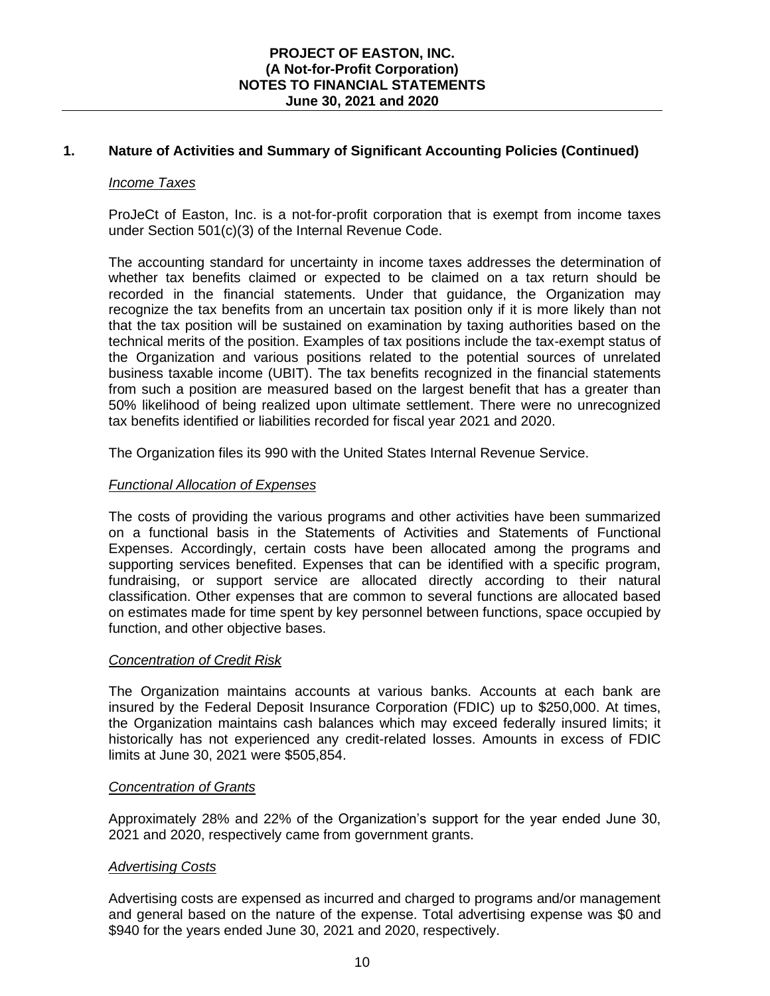# **1. Nature of Activities and Summary of Significant Accounting Policies (Continued)**

## *Income Taxes*

ProJeCt of Easton, Inc. is a not-for-profit corporation that is exempt from income taxes under Section 501(c)(3) of the Internal Revenue Code.

The accounting standard for uncertainty in income taxes addresses the determination of whether tax benefits claimed or expected to be claimed on a tax return should be recorded in the financial statements. Under that guidance, the Organization may recognize the tax benefits from an uncertain tax position only if it is more likely than not that the tax position will be sustained on examination by taxing authorities based on the technical merits of the position. Examples of tax positions include the tax-exempt status of the Organization and various positions related to the potential sources of unrelated business taxable income (UBIT). The tax benefits recognized in the financial statements from such a position are measured based on the largest benefit that has a greater than 50% likelihood of being realized upon ultimate settlement. There were no unrecognized tax benefits identified or liabilities recorded for fiscal year 2021 and 2020.

The Organization files its 990 with the United States Internal Revenue Service.

## *Functional Allocation of Expenses*

The costs of providing the various programs and other activities have been summarized on a functional basis in the Statements of Activities and Statements of Functional Expenses. Accordingly, certain costs have been allocated among the programs and supporting services benefited. Expenses that can be identified with a specific program, fundraising, or support service are allocated directly according to their natural classification. Other expenses that are common to several functions are allocated based on estimates made for time spent by key personnel between functions, space occupied by function, and other objective bases.

### *Concentration of Credit Risk*

The Organization maintains accounts at various banks. Accounts at each bank are insured by the Federal Deposit Insurance Corporation (FDIC) up to \$250,000. At times, the Organization maintains cash balances which may exceed federally insured limits; it historically has not experienced any credit-related losses. Amounts in excess of FDIC limits at June 30, 2021 were \$505,854.

### *Concentration of Grants*

Approximately 28% and 22% of the Organization's support for the year ended June 30, 2021 and 2020, respectively came from government grants.

### *Advertising Costs*

Advertising costs are expensed as incurred and charged to programs and/or management and general based on the nature of the expense. Total advertising expense was \$0 and \$940 for the years ended June 30, 2021 and 2020, respectively.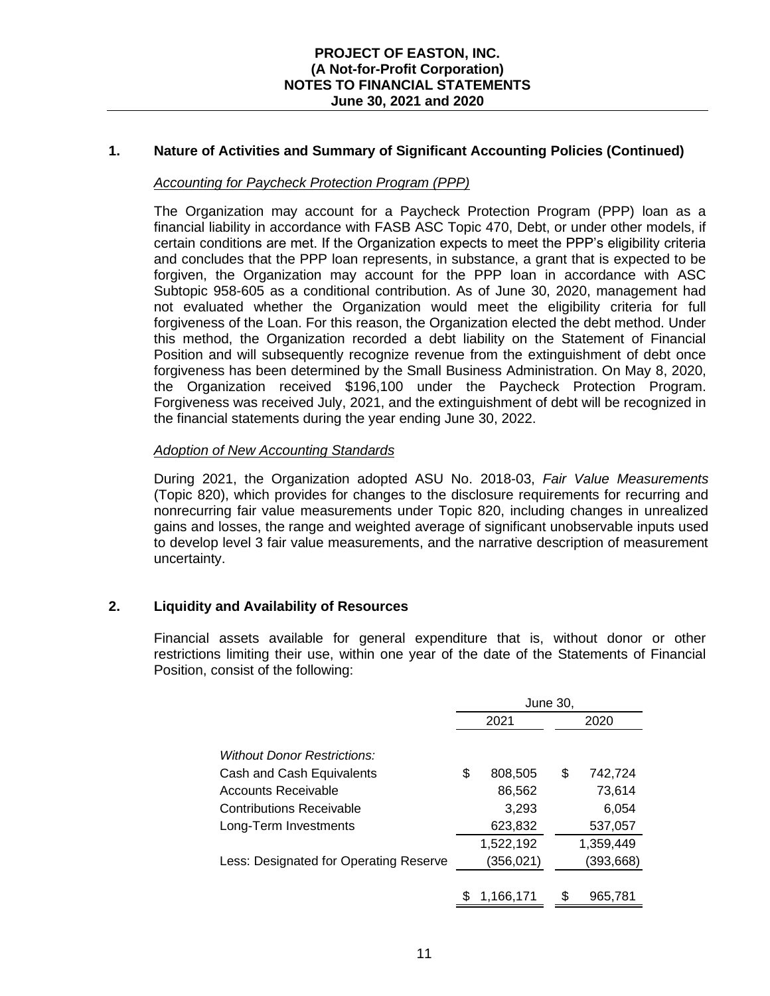# **1. Nature of Activities and Summary of Significant Accounting Policies (Continued)**

# *Accounting for Paycheck Protection Program (PPP)*

The Organization may account for a Paycheck Protection Program (PPP) loan as a financial liability in accordance with FASB ASC Topic 470, Debt, or under other models, if certain conditions are met. If the Organization expects to meet the PPP's eligibility criteria and concludes that the PPP loan represents, in substance, a grant that is expected to be forgiven, the Organization may account for the PPP loan in accordance with ASC Subtopic 958-605 as a conditional contribution. As of June 30, 2020, management had not evaluated whether the Organization would meet the eligibility criteria for full forgiveness of the Loan. For this reason, the Organization elected the debt method. Under this method, the Organization recorded a debt liability on the Statement of Financial Position and will subsequently recognize revenue from the extinguishment of debt once forgiveness has been determined by the Small Business Administration. On May 8, 2020, the Organization received \$196,100 under the Paycheck Protection Program. Forgiveness was received July, 2021, and the extinguishment of debt will be recognized in the financial statements during the year ending June 30, 2022.

# *Adoption of New Accounting Standards*

During 2021, the Organization adopted ASU No. 2018-03, *Fair Value Measurements* (Topic 820), which provides for changes to the disclosure requirements for recurring and nonrecurring fair value measurements under Topic 820, including changes in unrealized gains and losses, the range and weighted average of significant unobservable inputs used to develop level 3 fair value measurements, and the narrative description of measurement uncertainty.

# **2. Liquidity and Availability of Resources**

Financial assets available for general expenditure that is, without donor or other restrictions limiting their use, within one year of the date of the Statements of Financial Position, consist of the following:

|                                        | June 30, |           |    |           |  |  |
|----------------------------------------|----------|-----------|----|-----------|--|--|
|                                        |          | 2021      |    | 2020      |  |  |
|                                        |          |           |    |           |  |  |
| <b>Without Donor Restrictions:</b>     |          |           |    |           |  |  |
| Cash and Cash Equivalents              | \$       | 808,505   | S  | 742.724   |  |  |
| <b>Accounts Receivable</b>             |          | 86,562    |    | 73,614    |  |  |
| <b>Contributions Receivable</b>        |          | 3,293     |    | 6,054     |  |  |
| Long-Term Investments                  |          | 623,832   |    | 537,057   |  |  |
|                                        |          | 1,522,192 |    | 1,359,449 |  |  |
| Less: Designated for Operating Reserve |          | (356,021) |    | (393,668) |  |  |
|                                        |          |           |    |           |  |  |
|                                        |          | 1,166,171 | \$ | 965.781   |  |  |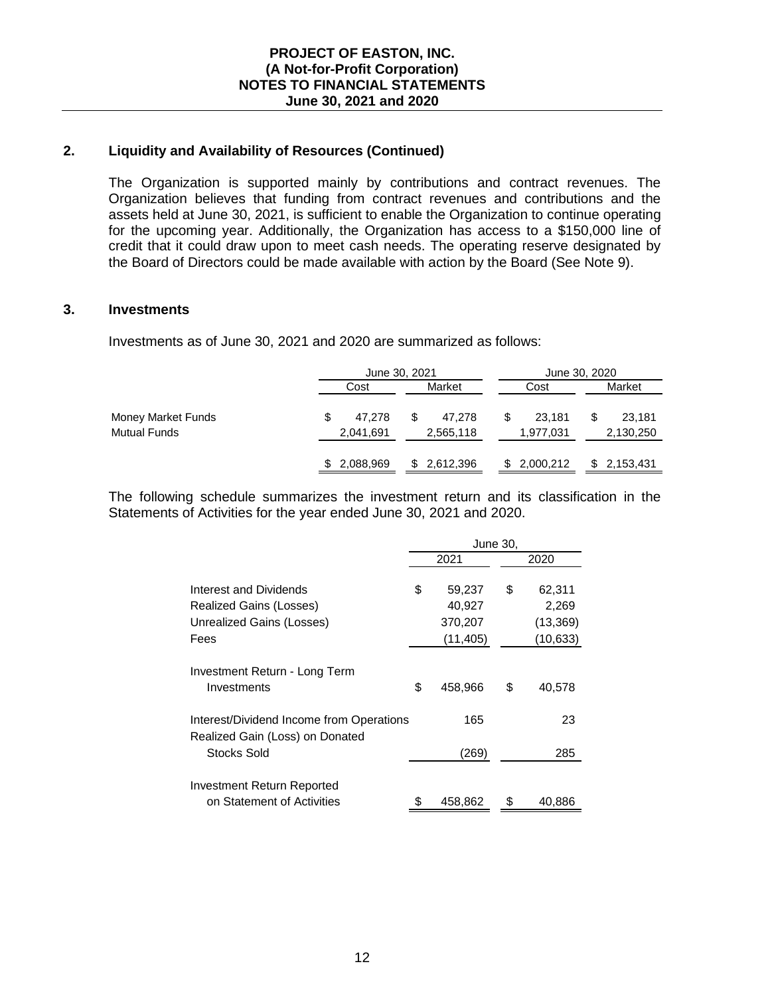# **2. Liquidity and Availability of Resources (Continued)**

The Organization is supported mainly by contributions and contract revenues. The Organization believes that funding from contract revenues and contributions and the assets held at June 30, 2021, is sufficient to enable the Organization to continue operating for the upcoming year. Additionally, the Organization has access to a \$150,000 line of credit that it could draw upon to meet cash needs. The operating reserve designated by the Board of Directors could be made available with action by the Board (See Note 9).

## **3. Investments**

Investments as of June 30, 2021 and 2020 are summarized as follows:

|                                    | June 30, 2020       |                           |                          |                     |  |  |
|------------------------------------|---------------------|---------------------------|--------------------------|---------------------|--|--|
|                                    | Cost                | Market                    | Cost                     | Market              |  |  |
| Money Market Funds<br>Mutual Funds | 47.278<br>2,041,691 | \$<br>47.278<br>2,565,118 | 23.181<br>S<br>1,977,031 | 23,181<br>2,130,250 |  |  |
|                                    | \$2,088,969         | \$2,612,396               | \$2,000,212              | 2,153,431           |  |  |

The following schedule summarizes the investment return and its classification in the Statements of Activities for the year ended June 30, 2021 and 2020.

|                                                                             | June 30, |                   |    |                    |  |  |
|-----------------------------------------------------------------------------|----------|-------------------|----|--------------------|--|--|
|                                                                             |          | 2021              |    | 2020               |  |  |
| Interest and Dividends                                                      | \$       | 59,237            | \$ | 62,311             |  |  |
| Realized Gains (Losses)<br>Unrealized Gains (Losses)                        |          | 40,927<br>370,207 |    | 2,269<br>(13, 369) |  |  |
| Fees                                                                        |          | (11, 405)         |    | (10, 633)          |  |  |
| Investment Return - Long Term<br>Investments                                | \$       | 458,966           | \$ | 40,578             |  |  |
| Interest/Dividend Income from Operations<br>Realized Gain (Loss) on Donated |          | 165               |    | 23                 |  |  |
| Stocks Sold                                                                 |          | (269)             |    | 285                |  |  |
| Investment Return Reported<br>on Statement of Activities                    | \$       | 458.862           | S  | 40.886             |  |  |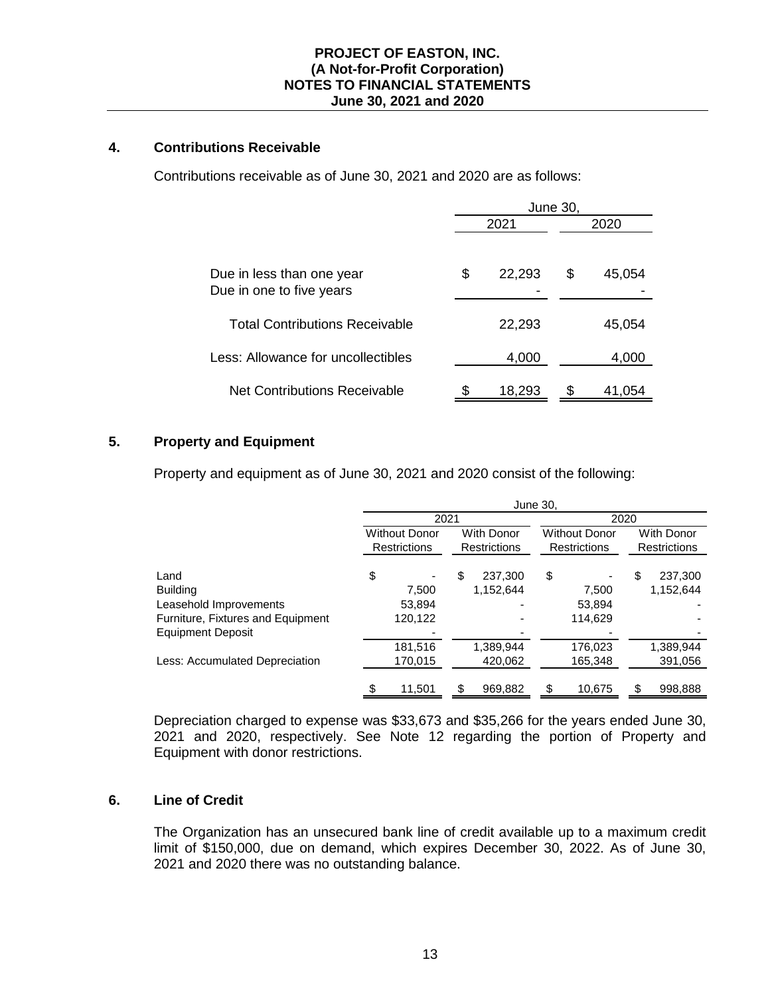# **4. Contributions Receivable**

Contributions receivable as of June 30, 2021 and 2020 are as follows:

|                                                       | June 30, |        |      |        |  |  |
|-------------------------------------------------------|----------|--------|------|--------|--|--|
|                                                       |          | 2021   | 2020 |        |  |  |
|                                                       |          |        |      |        |  |  |
| Due in less than one year<br>Due in one to five years | S        | 22,293 | S    | 45,054 |  |  |
| <b>Total Contributions Receivable</b>                 |          | 22,293 |      | 45,054 |  |  |
| Less: Allowance for uncollectibles                    |          | 4,000  |      | 4,000  |  |  |
| Net Contributions Receivable                          |          | 18,293 |      | 41,054 |  |  |

# **5. Property and Equipment**

Property and equipment as of June 30, 2021 and 2020 consist of the following:

|                                   | June 30,             |         |   |                     |      |                      |   |                     |  |  |
|-----------------------------------|----------------------|---------|---|---------------------|------|----------------------|---|---------------------|--|--|
|                                   |                      | 2021    |   |                     | 2020 |                      |   |                     |  |  |
|                                   | <b>Without Donor</b> |         |   | <b>With Donor</b>   |      | <b>Without Donor</b> |   | <b>With Donor</b>   |  |  |
|                                   | <b>Restrictions</b>  |         |   | <b>Restrictions</b> |      | <b>Restrictions</b>  |   | <b>Restrictions</b> |  |  |
|                                   |                      |         |   |                     |      |                      |   |                     |  |  |
| Land                              | \$                   |         | S | 237.300             | \$   |                      | S | 237.300             |  |  |
| <b>Building</b>                   |                      | 7.500   |   | 1.152.644           |      | 7.500                |   | 1.152.644           |  |  |
| Leasehold Improvements            |                      | 53,894  |   |                     |      | 53,894               |   |                     |  |  |
| Furniture, Fixtures and Equipment |                      | 120,122 |   |                     |      | 114,629              |   |                     |  |  |
| <b>Equipment Deposit</b>          |                      |         |   |                     |      |                      |   |                     |  |  |
|                                   |                      | 181,516 |   | 1,389,944           |      | 176,023              |   | 1,389,944           |  |  |
| Less: Accumulated Depreciation    |                      | 170,015 |   | 420.062             |      | 165,348              |   | 391,056             |  |  |
|                                   |                      |         |   |                     |      |                      |   |                     |  |  |
|                                   |                      | 11,501  |   | 969,882             |      | 10,675               |   | 998,888             |  |  |

Depreciation charged to expense was \$33,673 and \$35,266 for the years ended June 30, 2021 and 2020, respectively. See Note 12 regarding the portion of Property and Equipment with donor restrictions.

# **6. Line of Credit**

The Organization has an unsecured bank line of credit available up to a maximum credit limit of \$150,000, due on demand, which expires December 30, 2022. As of June 30, 2021 and 2020 there was no outstanding balance.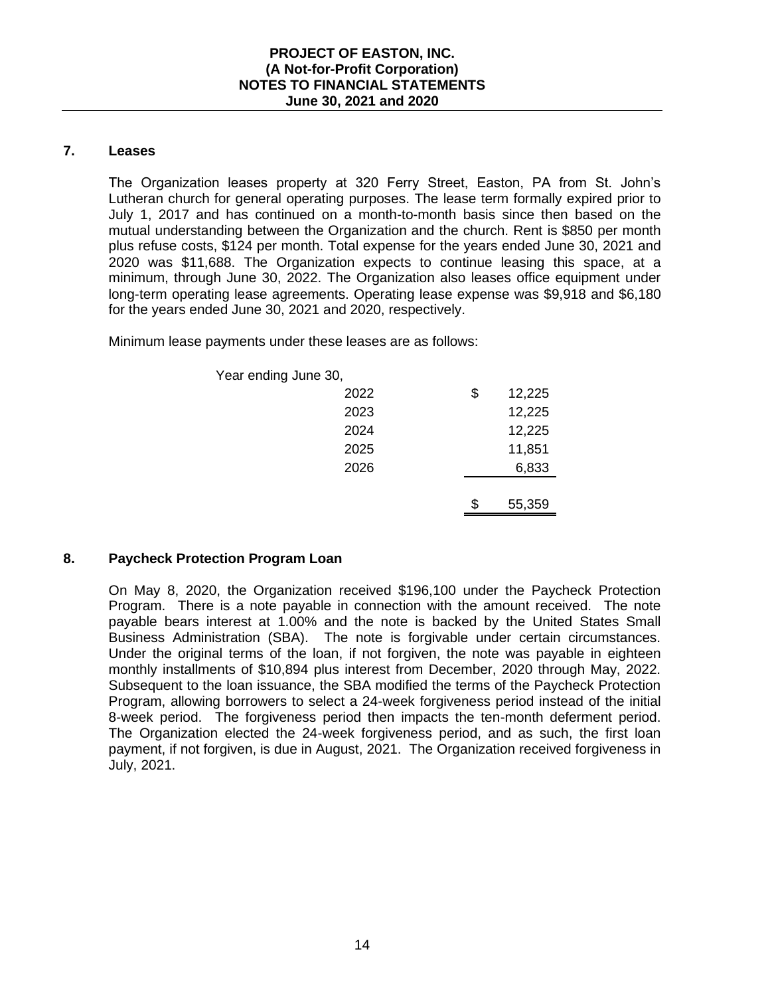## **7. Leases**

The Organization leases property at 320 Ferry Street, Easton, PA from St. John's Lutheran church for general operating purposes. The lease term formally expired prior to July 1, 2017 and has continued on a month-to-month basis since then based on the mutual understanding between the Organization and the church. Rent is \$850 per month plus refuse costs, \$124 per month. Total expense for the years ended June 30, 2021 and 2020 was \$11,688. The Organization expects to continue leasing this space, at a minimum, through June 30, 2022. The Organization also leases office equipment under long-term operating lease agreements. Operating lease expense was \$9,918 and \$6,180 for the years ended June 30, 2021 and 2020, respectively.

Minimum lease payments under these leases are as follows:

| Year ending June 30, |    |        |
|----------------------|----|--------|
| 2022                 | \$ | 12,225 |
| 2023                 |    | 12,225 |
| 2024                 |    | 12,225 |
| 2025                 |    | 11,851 |
| 2026                 |    | 6,833  |
|                      |    |        |
|                      | S. | 55,359 |

# **8. Paycheck Protection Program Loan**

On May 8, 2020, the Organization received \$196,100 under the Paycheck Protection Program. There is a note payable in connection with the amount received. The note payable bears interest at 1.00% and the note is backed by the United States Small Business Administration (SBA). The note is forgivable under certain circumstances. Under the original terms of the loan, if not forgiven, the note was payable in eighteen monthly installments of \$10,894 plus interest from December, 2020 through May, 2022. Subsequent to the loan issuance, the SBA modified the terms of the Paycheck Protection Program, allowing borrowers to select a 24-week forgiveness period instead of the initial 8-week period. The forgiveness period then impacts the ten-month deferment period. The Organization elected the 24-week forgiveness period, and as such, the first loan payment, if not forgiven, is due in August, 2021. The Organization received forgiveness in July, 2021.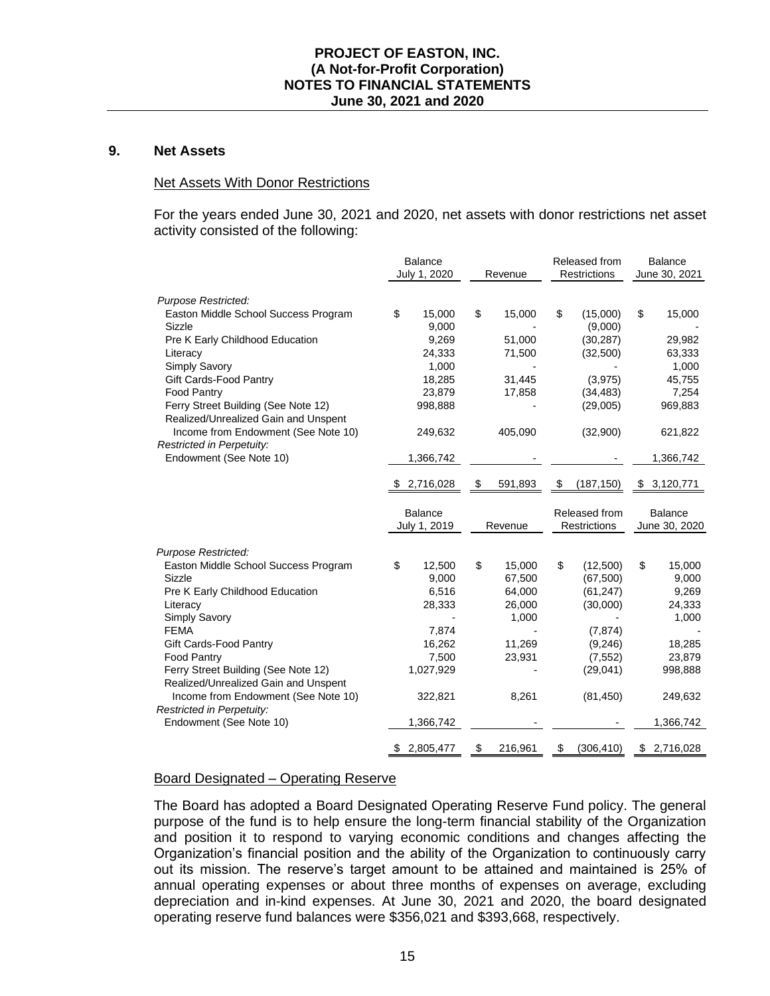#### **9. Net Assets**

#### Net Assets With Donor Restrictions

For the years ended June 30, 2021 and 2020, net assets with donor restrictions net asset activity consisted of the following:

|                                                      | <b>Balance</b>  |               | Released from    | <b>Balance</b>  |
|------------------------------------------------------|-----------------|---------------|------------------|-----------------|
|                                                      | July 1, 2020    | Revenue       | Restrictions     | June 30, 2021   |
|                                                      |                 |               |                  |                 |
| Purpose Restricted:                                  |                 |               |                  |                 |
| Easton Middle School Success Program                 | \$<br>15,000    | \$<br>15,000  | \$<br>(15,000)   | \$<br>15,000    |
| <b>Sizzle</b>                                        | 9,000           |               | (9,000)          |                 |
| Pre K Early Childhood Education                      | 9,269           | 51,000        | (30, 287)        | 29,982          |
| Literacy                                             | 24,333          | 71,500        | (32,500)         | 63,333          |
| Simply Savory                                        | 1,000           |               |                  | 1,000           |
| Gift Cards-Food Pantry                               | 18,285          | 31,445        | (3,975)          | 45,755          |
| <b>Food Pantry</b>                                   | 23,879          | 17,858        | (34, 483)        | 7,254           |
| Ferry Street Building (See Note 12)                  | 998,888         |               | (29,005)         | 969,883         |
| Realized/Unrealized Gain and Unspent                 |                 |               |                  |                 |
| Income from Endowment (See Note 10)                  | 249,632         | 405,090       | (32,900)         | 621,822         |
| Restricted in Perpetuity:                            |                 |               |                  |                 |
| Endowment (See Note 10)                              | 1,366,742       |               |                  | 1,366,742       |
|                                                      |                 |               |                  |                 |
|                                                      | 2,716,028<br>S. | 591,893<br>\$ | (187, 150)<br>\$ | 3,120,771<br>\$ |
|                                                      |                 |               |                  |                 |
|                                                      | <b>Balance</b>  |               | Released from    | Balance         |
|                                                      | July 1, 2019    | Revenue       | Restrictions     | June 30, 2020   |
| Purpose Restricted:                                  |                 |               |                  |                 |
| Easton Middle School Success Program                 | \$<br>12,500    | \$<br>15,000  | \$<br>(12,500)   | \$<br>15,000    |
| Sizzle                                               | 9,000           | 67,500        | (67, 500)        | 9,000           |
| Pre K Early Childhood Education                      | 6,516           | 64,000        | (61, 247)        | 9,269           |
| Literacy                                             | 28,333          | 26,000        | (30,000)         | 24,333          |
| Simply Savory                                        |                 | 1,000         |                  | 1,000           |
| <b>FEMA</b>                                          | 7,874           |               | (7, 874)         |                 |
| Gift Cards-Food Pantry                               | 16,262          | 11,269        | (9, 246)         | 18,285          |
| <b>Food Pantry</b>                                   | 7,500           | 23,931        | (7, 552)         | 23,879          |
| Ferry Street Building (See Note 12)                  | 1,027,929       |               | (29,041)         | 998,888         |
| Realized/Unrealized Gain and Unspent                 |                 |               |                  |                 |
|                                                      |                 |               |                  |                 |
| Income from Endowment (See Note 10)                  | 322,821         | 8,261         | (81, 450)        | 249,632         |
| Restricted in Perpetuity:<br>Endowment (See Note 10) | 1,366,742       |               |                  | 1,366,742       |
|                                                      |                 |               |                  |                 |
|                                                      | 2,805,477<br>\$ | \$<br>216,961 | \$<br>(306, 410) | 2,716,028<br>\$ |

### Board Designated – Operating Reserve

The Board has adopted a Board Designated Operating Reserve Fund policy. The general purpose of the fund is to help ensure the long-term financial stability of the Organization and position it to respond to varying economic conditions and changes affecting the Organization's financial position and the ability of the Organization to continuously carry out its mission. The reserve's target amount to be attained and maintained is 25% of annual operating expenses or about three months of expenses on average, excluding depreciation and in-kind expenses. At June 30, 2021 and 2020, the board designated operating reserve fund balances were \$356,021 and \$393,668, respectively.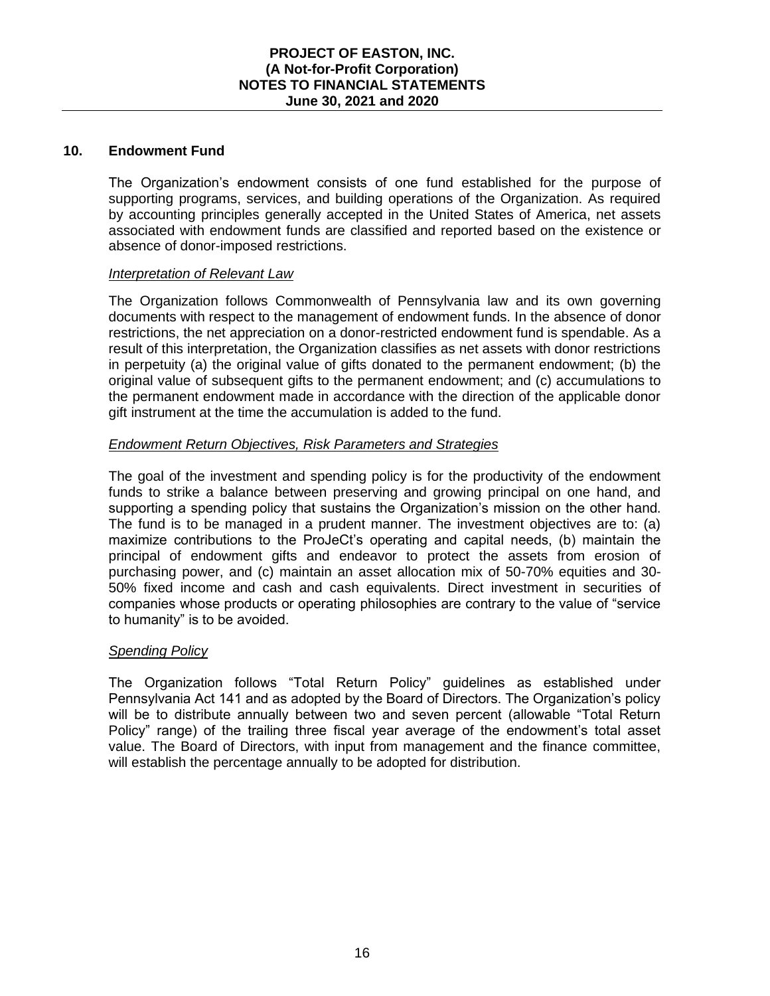### **10. Endowment Fund**

The Organization's endowment consists of one fund established for the purpose of supporting programs, services, and building operations of the Organization. As required by accounting principles generally accepted in the United States of America, net assets associated with endowment funds are classified and reported based on the existence or absence of donor-imposed restrictions.

## *Interpretation of Relevant Law*

The Organization follows Commonwealth of Pennsylvania law and its own governing documents with respect to the management of endowment funds. In the absence of donor restrictions, the net appreciation on a donor-restricted endowment fund is spendable. As a result of this interpretation, the Organization classifies as net assets with donor restrictions in perpetuity (a) the original value of gifts donated to the permanent endowment; (b) the original value of subsequent gifts to the permanent endowment; and (c) accumulations to the permanent endowment made in accordance with the direction of the applicable donor gift instrument at the time the accumulation is added to the fund.

## *Endowment Return Objectives, Risk Parameters and Strategies*

The goal of the investment and spending policy is for the productivity of the endowment funds to strike a balance between preserving and growing principal on one hand, and supporting a spending policy that sustains the Organization's mission on the other hand. The fund is to be managed in a prudent manner. The investment objectives are to: (a) maximize contributions to the ProJeCt's operating and capital needs, (b) maintain the principal of endowment gifts and endeavor to protect the assets from erosion of purchasing power, and (c) maintain an asset allocation mix of 50-70% equities and 30- 50% fixed income and cash and cash equivalents. Direct investment in securities of companies whose products or operating philosophies are contrary to the value of "service to humanity" is to be avoided.

# *Spending Policy*

The Organization follows "Total Return Policy" guidelines as established under Pennsylvania Act 141 and as adopted by the Board of Directors. The Organization's policy will be to distribute annually between two and seven percent (allowable "Total Return Policy" range) of the trailing three fiscal year average of the endowment's total asset value. The Board of Directors, with input from management and the finance committee, will establish the percentage annually to be adopted for distribution.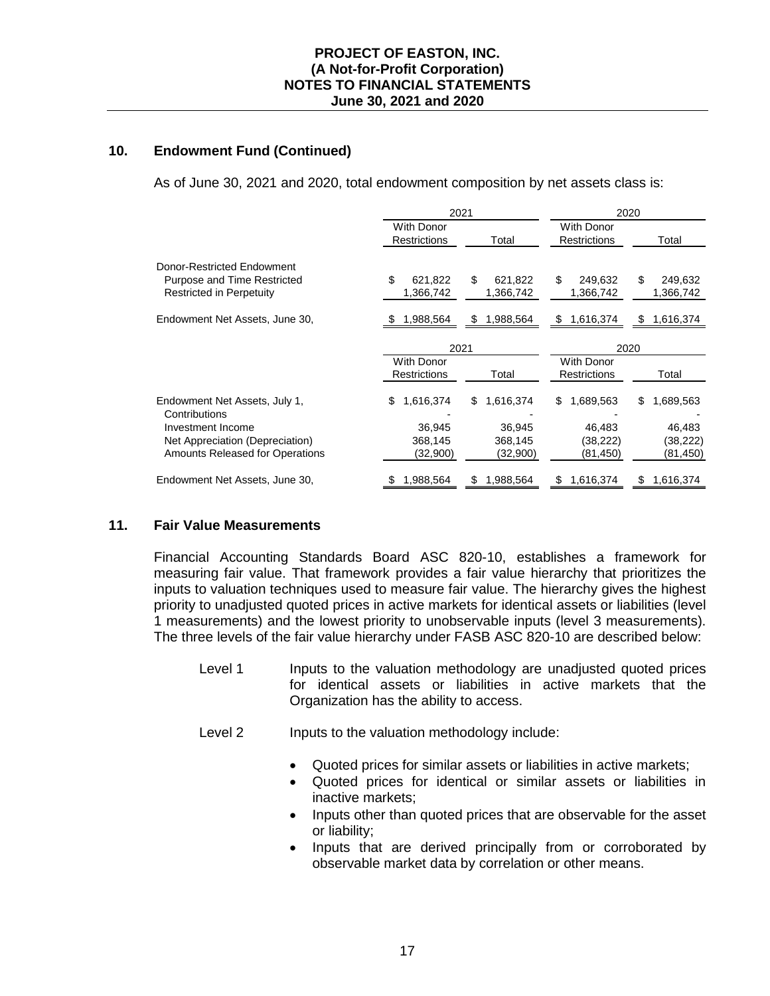# **10. Endowment Fund (Continued)**

As of June 30, 2021 and 2020, total endowment composition by net assets class is:

|                                                                    |                     | 2021                | 2020                 |                      |  |
|--------------------------------------------------------------------|---------------------|---------------------|----------------------|----------------------|--|
|                                                                    | <b>With Donor</b>   |                     | <b>With Donor</b>    |                      |  |
|                                                                    | <b>Restrictions</b> | Total               | <b>Restrictions</b>  | Total                |  |
| Donor-Restricted Endowment<br>Purpose and Time Restricted          | \$.<br>621,822      | \$.<br>621,822      | \$<br>249,632        | \$<br>249,632        |  |
| <b>Restricted in Perpetuity</b>                                    | 1,366,742           | 1,366,742           | 1,366,742            | 1,366,742            |  |
| Endowment Net Assets, June 30,                                     | 1,988,564           | S<br>1,988,564      | 1,616,374<br>S       | 1,616,374<br>S       |  |
|                                                                    |                     | 2021                | 2020                 |                      |  |
|                                                                    | <b>With Donor</b>   |                     | <b>With Donor</b>    |                      |  |
|                                                                    | <b>Restrictions</b> | Total               | <b>Restrictions</b>  | Total                |  |
| Endowment Net Assets, July 1,<br>Contributions                     | 1,616,374<br>\$     | 1,616,374<br>\$.    | 1,689,563<br>\$      | 1,689,563<br>\$      |  |
| Investment Income                                                  | 36,945              | 36,945              | 46,483               | 46,483               |  |
| Net Appreciation (Depreciation)<br>Amounts Released for Operations | 368,145<br>(32,900) | 368,145<br>(32,900) | (38,222)<br>(81,450) | (38,222)<br>(81,450) |  |
| Endowment Net Assets, June 30,                                     | 1,988,564           | 1,988,564<br>S      | 1,616,374<br>S       | 1,616,374            |  |

### **11. Fair Value Measurements**

Financial Accounting Standards Board ASC 820-10, establishes a framework for measuring fair value. That framework provides a fair value hierarchy that prioritizes the inputs to valuation techniques used to measure fair value. The hierarchy gives the highest priority to unadjusted quoted prices in active markets for identical assets or liabilities (level 1 measurements) and the lowest priority to unobservable inputs (level 3 measurements). The three levels of the fair value hierarchy under FASB ASC 820-10 are described below:

- Level 1 **Inputs to the valuation methodology are unadjusted quoted prices** for identical assets or liabilities in active markets that the Organization has the ability to access.
- Level 2 Inputs to the valuation methodology include:
	- Quoted prices for similar assets or liabilities in active markets;
	- Quoted prices for identical or similar assets or liabilities in inactive markets;
	- Inputs other than quoted prices that are observable for the asset or liability;
	- Inputs that are derived principally from or corroborated by observable market data by correlation or other means.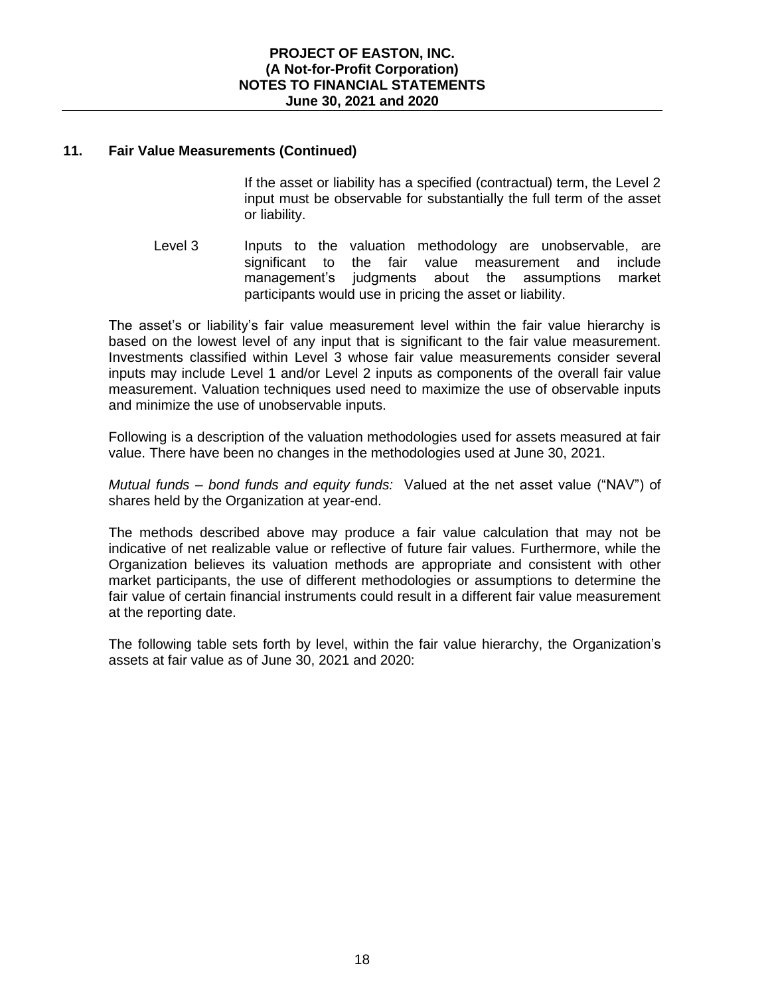# **11. Fair Value Measurements (Continued)**

If the asset or liability has a specified (contractual) term, the Level 2 input must be observable for substantially the full term of the asset or liability.

Level 3 Inputs to the valuation methodology are unobservable, are significant to the fair value measurement and include management's judgments about the assumptions market participants would use in pricing the asset or liability.

The asset's or liability's fair value measurement level within the fair value hierarchy is based on the lowest level of any input that is significant to the fair value measurement. Investments classified within Level 3 whose fair value measurements consider several inputs may include Level 1 and/or Level 2 inputs as components of the overall fair value measurement. Valuation techniques used need to maximize the use of observable inputs and minimize the use of unobservable inputs.

Following is a description of the valuation methodologies used for assets measured at fair value. There have been no changes in the methodologies used at June 30, 2021.

*Mutual funds – bond funds and equity funds:* Valued at the net asset value ("NAV") of shares held by the Organization at year-end.

The methods described above may produce a fair value calculation that may not be indicative of net realizable value or reflective of future fair values. Furthermore, while the Organization believes its valuation methods are appropriate and consistent with other market participants, the use of different methodologies or assumptions to determine the fair value of certain financial instruments could result in a different fair value measurement at the reporting date.

The following table sets forth by level, within the fair value hierarchy, the Organization's assets at fair value as of June 30, 2021 and 2020: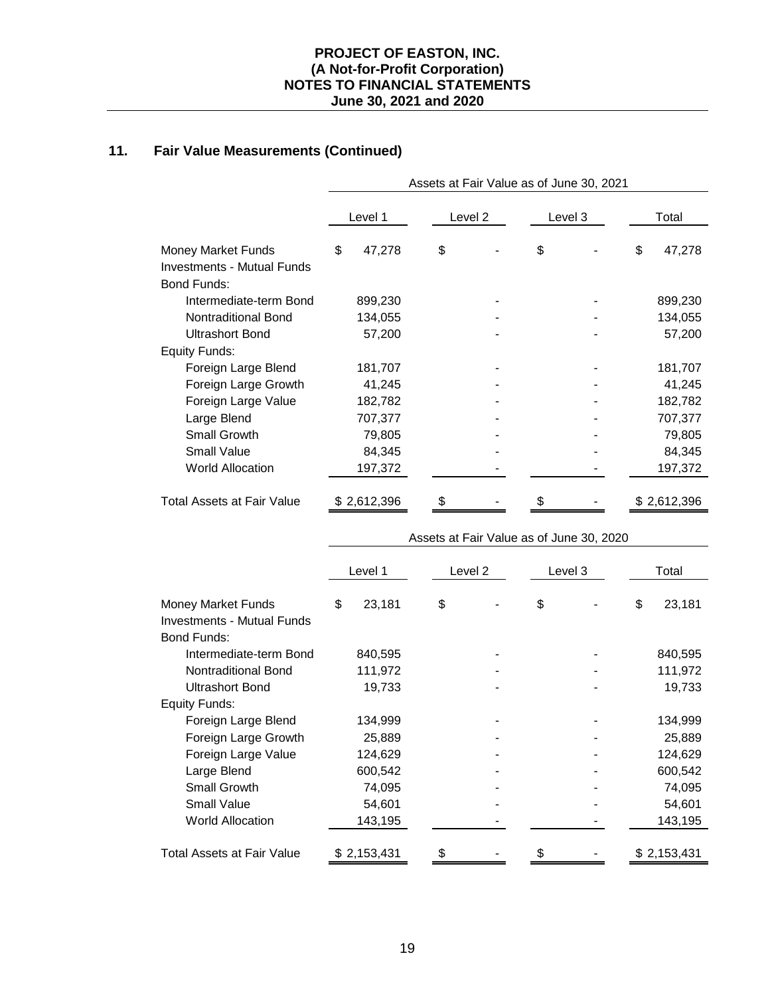# **11. Fair Value Measurements (Continued)**

|                                                                               | Assets at Fair Value as of June 30, 2021 |             |    |                    |    |         |    |             |  |
|-------------------------------------------------------------------------------|------------------------------------------|-------------|----|--------------------|----|---------|----|-------------|--|
|                                                                               | Level 1                                  |             |    | Level 2            |    | Level 3 |    | Total       |  |
| Money Market Funds<br><b>Investments - Mutual Funds</b><br><b>Bond Funds:</b> | \$                                       | 47,278      | \$ |                    | \$ |         | \$ | 47,278      |  |
| Intermediate-term Bond                                                        |                                          | 899,230     |    |                    |    |         |    | 899,230     |  |
| <b>Nontraditional Bond</b>                                                    |                                          | 134,055     |    |                    |    |         |    | 134,055     |  |
| <b>Ultrashort Bond</b>                                                        |                                          | 57,200      |    |                    |    |         |    | 57,200      |  |
| <b>Equity Funds:</b>                                                          |                                          |             |    |                    |    |         |    |             |  |
| Foreign Large Blend                                                           |                                          | 181,707     |    |                    |    |         |    | 181,707     |  |
| Foreign Large Growth                                                          |                                          | 41,245      |    |                    |    |         |    | 41,245      |  |
| Foreign Large Value                                                           |                                          | 182,782     |    |                    |    |         |    | 182,782     |  |
| Large Blend                                                                   |                                          | 707,377     |    |                    |    |         |    | 707,377     |  |
| Small Growth                                                                  |                                          | 79,805      |    |                    |    |         |    | 79,805      |  |
| <b>Small Value</b>                                                            |                                          | 84,345      |    |                    |    |         |    | 84,345      |  |
| <b>World Allocation</b>                                                       |                                          | 197,372     |    |                    |    |         |    | 197,372     |  |
| <b>Total Assets at Fair Value</b>                                             |                                          | \$2,612,396 | S  |                    | \$ |         |    | \$2,612,396 |  |
|                                                                               | Assets at Fair Value as of June 30, 2020 |             |    |                    |    |         |    |             |  |
|                                                                               |                                          | Level 1     |    | Level <sub>2</sub> |    | Level 3 |    | Total       |  |
| Money Market Funds<br><b>Investments - Mutual Funds</b><br><b>Bond Funds:</b> | \$                                       | 23,181      | \$ |                    | \$ |         | \$ | 23,181      |  |
| Intermediate-term Bond                                                        |                                          | 840,595     |    |                    |    |         |    | 840,595     |  |
| <b>Nontraditional Bond</b>                                                    |                                          | 111,972     |    |                    |    |         |    | 111,972     |  |
| <b>Ultrashort Bond</b>                                                        |                                          | 19,733      |    |                    |    |         |    | 19,733      |  |
| <b>Equity Funds:</b>                                                          |                                          |             |    |                    |    |         |    |             |  |
| Foreign Large Blend                                                           |                                          | 134,999     |    |                    |    |         |    | 134,999     |  |
| Foreign Large Growth                                                          |                                          | 25,889      |    |                    |    |         |    | 25,889      |  |
| Foreign Large Value                                                           |                                          | 124,629     |    |                    |    |         |    | 124,629     |  |
| Large Blend                                                                   |                                          | 600,542     |    |                    |    |         |    | 600,542     |  |
| Small Growth                                                                  |                                          | 74,095      |    |                    |    |         |    | 74,095      |  |
| <b>Small Value</b>                                                            |                                          | 54,601      |    |                    |    |         |    | 54,601      |  |
| <b>World Allocation</b>                                                       |                                          | 143,195     |    |                    |    |         |    | 143,195     |  |
| <b>Total Assets at Fair Value</b>                                             |                                          | \$2,153,431 | \$ |                    | \$ |         |    | \$2,153,431 |  |